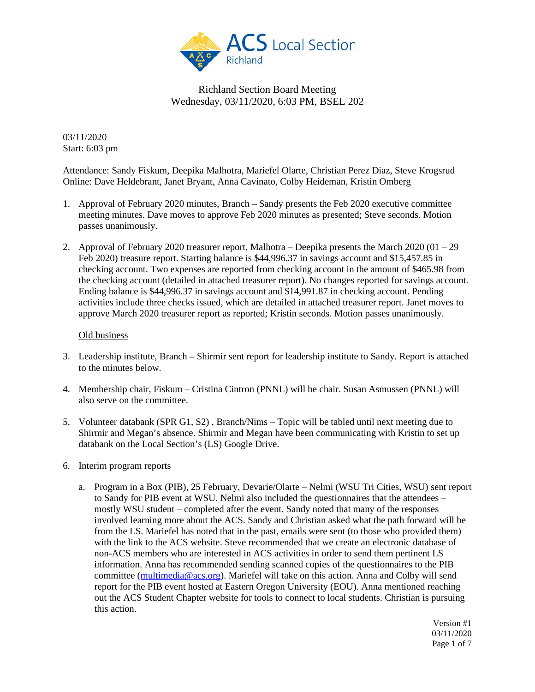

03/11/2020 Start: 6:03 pm

Attendance: Sandy Fiskum, Deepika Malhotra, Mariefel Olarte, Christian Perez Diaz, Steve Krogsrud Online: Dave Heldebrant, Janet Bryant, Anna Cavinato, Colby Heideman, Kristin Omberg

- 1. Approval of February 2020 minutes, Branch Sandy presents the Feb 2020 executive committee meeting minutes. Dave moves to approve Feb 2020 minutes as presented; Steve seconds. Motion passes unanimously.
- 2. Approval of February 2020 treasurer report, Malhotra Deepika presents the March 2020 (01 29 Feb 2020) treasure report. Starting balance is \$44,996.37 in savings account and \$15,457.85 in checking account. Two expenses are reported from checking account in the amount of \$465.98 from the checking account (detailed in attached treasurer report). No changes reported for savings account. Ending balance is \$44,996.37 in savings account and \$14,991.87 in checking account. Pending activities include three checks issued, which are detailed in attached treasurer report. Janet moves to approve March 2020 treasurer report as reported; Kristin seconds. Motion passes unanimously.

#### Old business

- 3. Leadership institute, Branch Shirmir sent report for leadership institute to Sandy. Report is attached to the minutes below.
- 4. Membership chair, Fiskum Cristina Cintron (PNNL) will be chair. Susan Asmussen (PNNL) will also serve on the committee.
- 5. Volunteer databank (SPR G1, S2) , Branch/Nims Topic will be tabled until next meeting due to Shirmir and Megan's absence. Shirmir and Megan have been communicating with Kristin to set up databank on the Local Section's (LS) Google Drive.
- 6. Interim program reports
	- a. Program in a Box (PIB), 25 February, Devarie/Olarte Nelmi (WSU Tri Cities, WSU) sent report to Sandy for PIB event at WSU. Nelmi also included the questionnaires that the attendees – mostly WSU student – completed after the event. Sandy noted that many of the responses involved learning more about the ACS. Sandy and Christian asked what the path forward will be from the LS. Mariefel has noted that in the past, emails were sent (to those who provided them) with the link to the ACS website. Steve recommended that we create an electronic database of non-ACS members who are interested in ACS activities in order to send them pertinent LS information. Anna has recommended sending scanned copies of the questionnaires to the PIB committee [\(multimedia@acs.org\)](mailto:multimedia@acs.org). Mariefel will take on this action. Anna and Colby will send report for the PIB event hosted at Eastern Oregon University (EOU). Anna mentioned reaching out the ACS Student Chapter website for tools to connect to local students. Christian is pursuing this action.

Version #1 03/11/2020 Page 1 of 7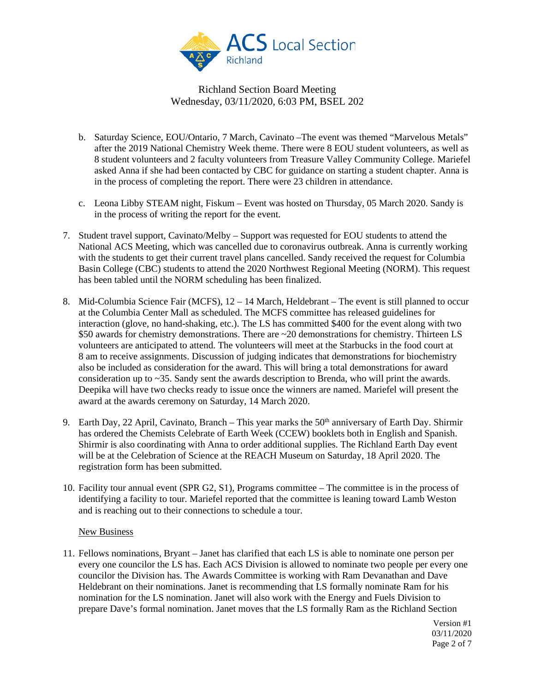

- b. Saturday Science, EOU/Ontario, 7 March, Cavinato –The event was themed "Marvelous Metals" after the 2019 National Chemistry Week theme. There were 8 EOU student volunteers, as well as 8 student volunteers and 2 faculty volunteers from Treasure Valley Community College. Mariefel asked Anna if she had been contacted by CBC for guidance on starting a student chapter. Anna is in the process of completing the report. There were 23 children in attendance.
- c. Leona Libby STEAM night, Fiskum Event was hosted on Thursday, 05 March 2020. Sandy is in the process of writing the report for the event.
- 7. Student travel support, Cavinato/Melby Support was requested for EOU students to attend the National ACS Meeting, which was cancelled due to coronavirus outbreak. Anna is currently working with the students to get their current travel plans cancelled. Sandy received the request for Columbia Basin College (CBC) students to attend the 2020 Northwest Regional Meeting (NORM). This request has been tabled until the NORM scheduling has been finalized.
- 8. Mid-Columbia Science Fair (MCFS), 12 14 March, Heldebrant The event is still planned to occur at the Columbia Center Mall as scheduled. The MCFS committee has released guidelines for interaction (glove, no hand-shaking, etc.). The LS has committed \$400 for the event along with two \$50 awards for chemistry demonstrations. There are ~20 demonstrations for chemistry. Thirteen LS volunteers are anticipated to attend. The volunteers will meet at the Starbucks in the food court at 8 am to receive assignments. Discussion of judging indicates that demonstrations for biochemistry also be included as consideration for the award. This will bring a total demonstrations for award consideration up to ~35. Sandy sent the awards description to Brenda, who will print the awards. Deepika will have two checks ready to issue once the winners are named. Mariefel will present the award at the awards ceremony on Saturday, 14 March 2020.
- 9. Earth Day, 22 April, Cavinato, Branch This year marks the  $50<sup>th</sup>$  anniversary of Earth Day. Shirmir has ordered the Chemists Celebrate of Earth Week (CCEW) booklets both in English and Spanish. Shirmir is also coordinating with Anna to order additional supplies. The Richland Earth Day event will be at the Celebration of Science at the REACH Museum on Saturday, 18 April 2020. The registration form has been submitted.
- 10. Facility tour annual event (SPR G2, S1), Programs committee The committee is in the process of identifying a facility to tour. Mariefel reported that the committee is leaning toward Lamb Weston and is reaching out to their connections to schedule a tour.

### New Business

11. Fellows nominations, Bryant – Janet has clarified that each LS is able to nominate one person per every one councilor the LS has. Each ACS Division is allowed to nominate two people per every one councilor the Division has. The Awards Committee is working with Ram Devanathan and Dave Heldebrant on their nominations. Janet is recommending that LS formally nominate Ram for his nomination for the LS nomination. Janet will also work with the Energy and Fuels Division to prepare Dave's formal nomination. Janet moves that the LS formally Ram as the Richland Section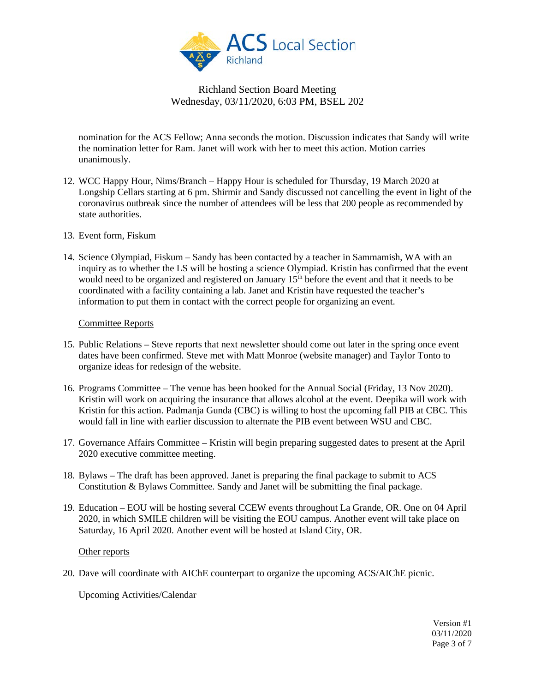

nomination for the ACS Fellow; Anna seconds the motion. Discussion indicates that Sandy will write the nomination letter for Ram. Janet will work with her to meet this action. Motion carries unanimously.

- 12. WCC Happy Hour, Nims/Branch Happy Hour is scheduled for Thursday, 19 March 2020 at Longship Cellars starting at 6 pm. Shirmir and Sandy discussed not cancelling the event in light of the coronavirus outbreak since the number of attendees will be less that 200 people as recommended by state authorities.
- 13. Event form, Fiskum
- 14. Science Olympiad, Fiskum Sandy has been contacted by a teacher in Sammamish, WA with an inquiry as to whether the LS will be hosting a science Olympiad. Kristin has confirmed that the event would need to be organized and registered on January 15<sup>th</sup> before the event and that it needs to be coordinated with a facility containing a lab. Janet and Kristin have requested the teacher's information to put them in contact with the correct people for organizing an event.

#### Committee Reports

- 15. Public Relations Steve reports that next newsletter should come out later in the spring once event dates have been confirmed. Steve met with Matt Monroe (website manager) and Taylor Tonto to organize ideas for redesign of the website.
- 16. Programs Committee The venue has been booked for the Annual Social (Friday, 13 Nov 2020). Kristin will work on acquiring the insurance that allows alcohol at the event. Deepika will work with Kristin for this action. Padmanja Gunda (CBC) is willing to host the upcoming fall PIB at CBC. This would fall in line with earlier discussion to alternate the PIB event between WSU and CBC.
- 17. Governance Affairs Committee Kristin will begin preparing suggested dates to present at the April 2020 executive committee meeting.
- 18. Bylaws The draft has been approved. Janet is preparing the final package to submit to ACS Constitution & Bylaws Committee. Sandy and Janet will be submitting the final package.
- 19. Education EOU will be hosting several CCEW events throughout La Grande, OR. One on 04 April 2020, in which SMILE children will be visiting the EOU campus. Another event will take place on Saturday, 16 April 2020. Another event will be hosted at Island City, OR.

### Other reports

20. Dave will coordinate with AIChE counterpart to organize the upcoming ACS/AIChE picnic.

Upcoming Activities/Calendar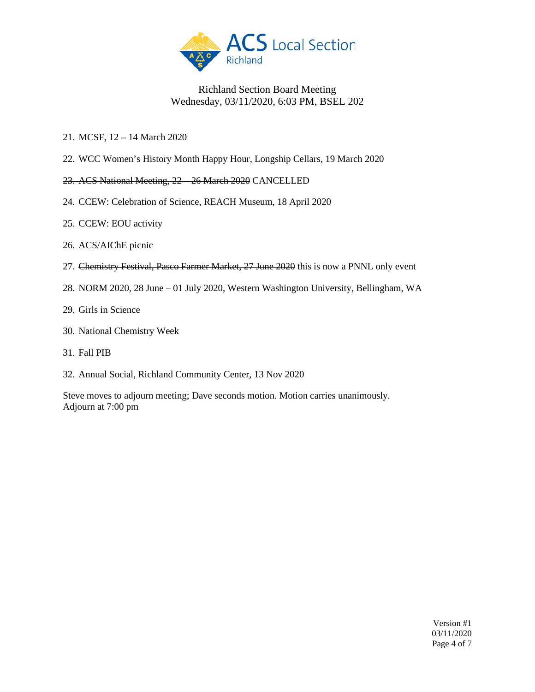

- 21. MCSF, 12 14 March 2020
- 22. WCC Women's History Month Happy Hour, Longship Cellars, 19 March 2020
- 23. ACS National Meeting, 22 26 March 2020 CANCELLED
- 24. CCEW: Celebration of Science, REACH Museum, 18 April 2020
- 25. CCEW: EOU activity
- 26. ACS/AIChE picnic
- 27. Chemistry Festival, Pasco Farmer Market, 27 June 2020 this is now a PNNL only event
- 28. NORM 2020, 28 June 01 July 2020, Western Washington University, Bellingham, WA
- 29. Girls in Science
- 30. National Chemistry Week
- 31. Fall PIB
- 32. Annual Social, Richland Community Center, 13 Nov 2020

Steve moves to adjourn meeting; Dave seconds motion. Motion carries unanimously. Adjourn at 7:00 pm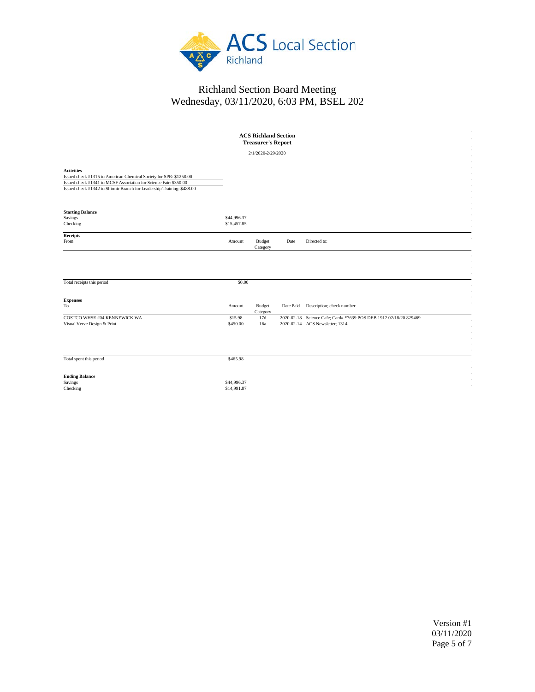

| <b>ACS Richland Section</b><br><b>Treasurer's Report</b>                                                                                                                                                                               |                            |                    |           |                                                                                                      |  |
|----------------------------------------------------------------------------------------------------------------------------------------------------------------------------------------------------------------------------------------|----------------------------|--------------------|-----------|------------------------------------------------------------------------------------------------------|--|
| 2/1/2020-2/29/2020                                                                                                                                                                                                                     |                            |                    |           |                                                                                                      |  |
| <b>Activities</b><br>Issued check #1315 to American Chemical Society for SPR: \$1250.00<br>Issued check #1341 to MCSF Association for Science Fair: \$350.00<br>Issued check #1342 to Shirmir Branch for Leadership Training: \$488.00 |                            |                    |           |                                                                                                      |  |
| <b>Starting Balance</b><br>Savings<br>Checking                                                                                                                                                                                         | \$44,996.37<br>\$15,457.85 |                    |           |                                                                                                      |  |
| <b>Receipts</b><br>From                                                                                                                                                                                                                | Amount                     | Budget<br>Category | Date      | Directed to:                                                                                         |  |
| Total receipts this period                                                                                                                                                                                                             | \$0.00                     |                    |           |                                                                                                      |  |
|                                                                                                                                                                                                                                        |                            |                    |           |                                                                                                      |  |
| <b>Expenses</b><br>$_{\rm To}$                                                                                                                                                                                                         | Amount                     | Budget<br>Category | Date Paid | Description; check number                                                                            |  |
| COSTCO WHSE #04 KENNEWICK WA<br>Visual Verve Design & Print                                                                                                                                                                            | \$15.98<br>\$450.00        | 17d<br>16a         |           | 2020-02-18 Science Cafe; Card# *7639 POS DEB 1912 02/18/20 829469<br>2020-02-14 ACS Newsletter; 1314 |  |
| Total spent this period                                                                                                                                                                                                                | \$465.98                   |                    |           |                                                                                                      |  |
| <b>Ending Balance</b><br>Savings<br>Checking                                                                                                                                                                                           | \$44,996.37<br>\$14,991.87 |                    |           |                                                                                                      |  |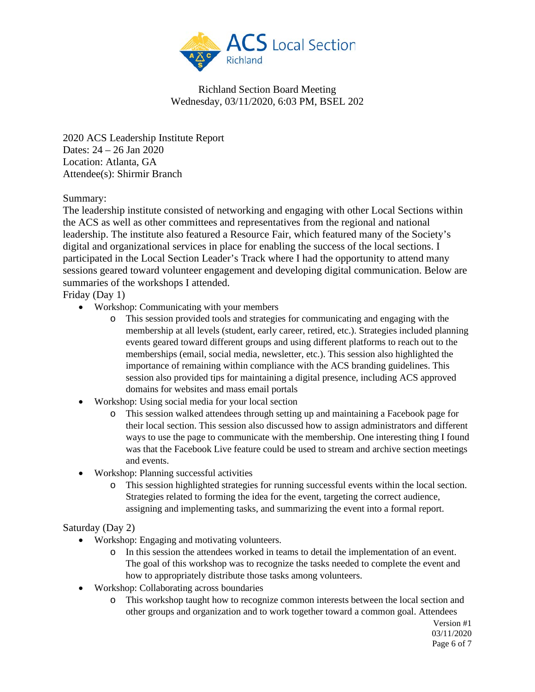

2020 ACS Leadership Institute Report Dates: 24 – 26 Jan 2020 Location: Atlanta, GA Attendee(s): Shirmir Branch

# Summary:

The leadership institute consisted of networking and engaging with other Local Sections within the ACS as well as other committees and representatives from the regional and national leadership. The institute also featured a Resource Fair, which featured many of the Society's digital and organizational services in place for enabling the success of the local sections. I participated in the Local Section Leader's Track where I had the opportunity to attend many sessions geared toward volunteer engagement and developing digital communication. Below are summaries of the workshops I attended.

Friday (Day 1)

- Workshop: Communicating with your members
	- o This session provided tools and strategies for communicating and engaging with the membership at all levels (student, early career, retired, etc.). Strategies included planning events geared toward different groups and using different platforms to reach out to the memberships (email, social media, newsletter, etc.). This session also highlighted the importance of remaining within compliance with the ACS branding guidelines. This session also provided tips for maintaining a digital presence, including ACS approved domains for websites and mass email portals
- Workshop: Using social media for your local section
	- o This session walked attendees through setting up and maintaining a Facebook page for their local section. This session also discussed how to assign administrators and different ways to use the page to communicate with the membership. One interesting thing I found was that the Facebook Live feature could be used to stream and archive section meetings and events.
- Workshop: Planning successful activities
	- o This session highlighted strategies for running successful events within the local section. Strategies related to forming the idea for the event, targeting the correct audience, assigning and implementing tasks, and summarizing the event into a formal report.

### Saturday (Day 2)

- Workshop: Engaging and motivating volunteers.
	- o In this session the attendees worked in teams to detail the implementation of an event. The goal of this workshop was to recognize the tasks needed to complete the event and how to appropriately distribute those tasks among volunteers.
- Workshop: Collaborating across boundaries
	- o This workshop taught how to recognize common interests between the local section and other groups and organization and to work together toward a common goal. Attendees

Version #1 03/11/2020 Page 6 of 7